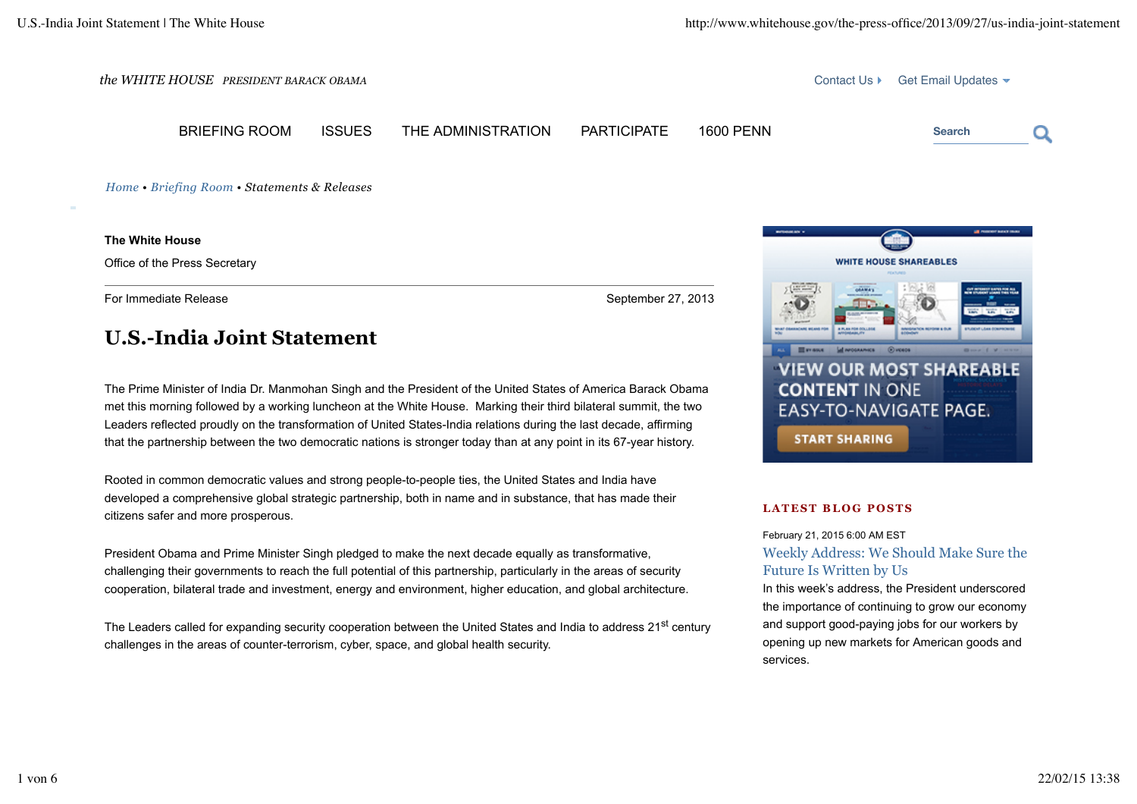

BRIEFING ROOM ISSUES THE ADMINISTRATION PARTICIPATE 1600 PENN **Search**



*Home • Briefing Room • Statements & Releases*

**The White House**

Office of the Press Secretary

For Immediate Release September 27, 2013

# **U.S.-India Joint Statement**

The Prime Minister of India Dr. Manmohan Singh and the President of the United States of America Barack Obama met this morning followed by a working luncheon at the White House. Marking their third bilateral summit, the two Leaders reflected proudly on the transformation of United States-India relations during the last decade, affirming that the partnership between the two democratic nations is stronger today than at any point in its 67-year history.

Rooted in common democratic values and strong people-to-people ties, the United States and India have developed a comprehensive global strategic partnership, both in name and in substance, that has made their citizens safer and more prosperous.

President Obama and Prime Minister Singh pledged to make the next decade equally as transformative, challenging their governments to reach the full potential of this partnership, particularly in the areas of security cooperation, bilateral trade and investment, energy and environment, higher education, and global architecture.

The Leaders called for expanding security cooperation between the United States and India to address 21<sup>st</sup> century challenges in the areas of counter-terrorism, cyber, space, and global health security.



### **LATEST BLOG POSTS**

February 21, 2015 6:00 AM EST Weekly Address: We Should Make Sure the Future Is Written by Us

In this week's address, the President underscored the importance of continuing to grow our economy and support good-paying jobs for our workers by opening up new markets for American goods and services.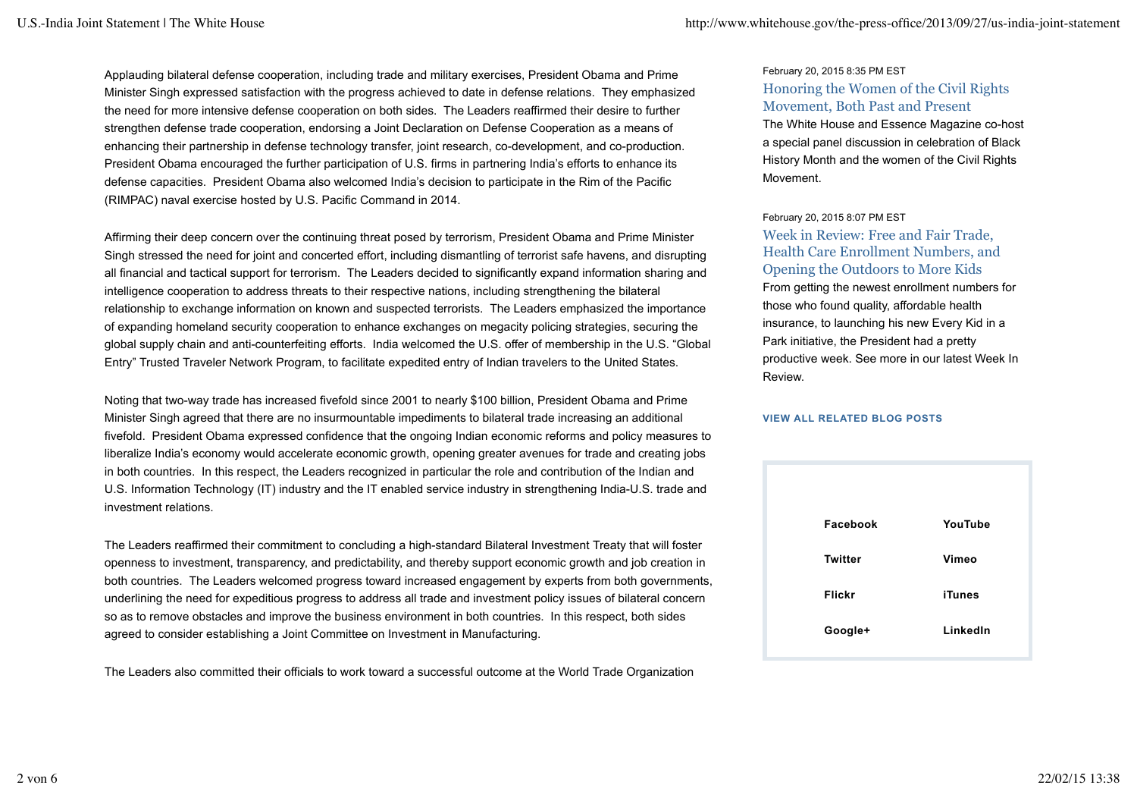Applauding bilateral defense cooperation, including trade and military exercises, President Obama and Prime Minister Singh expressed satisfaction with the progress achieved to date in defense relations. They emphasized the need for more intensive defense cooperation on both sides. The Leaders reaffirmed their desire to further strengthen defense trade cooperation, endorsing a Joint Declaration on Defense Cooperation as a means of enhancing their partnership in defense technology transfer, joint research, co-development, and co-production. President Obama encouraged the further participation of U.S. firms in partnering India's efforts to enhance its defense capacities. President Obama also welcomed India's decision to participate in the Rim of the Pacific (RIMPAC) naval exercise hosted by U.S. Pacific Command in 2014.

Affirming their deep concern over the continuing threat posed by terrorism, President Obama and Prime Minister Singh stressed the need for joint and concerted effort, including dismantling of terrorist safe havens, and disrupting all financial and tactical support for terrorism. The Leaders decided to significantly expand information sharing and intelligence cooperation to address threats to their respective nations, including strengthening the bilateral relationship to exchange information on known and suspected terrorists. The Leaders emphasized the importance of expanding homeland security cooperation to enhance exchanges on megacity policing strategies, securing the global supply chain and anti-counterfeiting efforts. India welcomed the U.S. offer of membership in the U.S. "Global Entry" Trusted Traveler Network Program, to facilitate expedited entry of Indian travelers to the United States.

Noting that two-way trade has increased fivefold since 2001 to nearly \$100 billion, President Obama and Prime Minister Singh agreed that there are no insurmountable impediments to bilateral trade increasing an additional fivefold. President Obama expressed confidence that the ongoing Indian economic reforms and policy measures to liberalize India's economy would accelerate economic growth, opening greater avenues for trade and creating jobs in both countries. In this respect, the Leaders recognized in particular the role and contribution of the Indian and U.S. Information Technology (IT) industry and the IT enabled service industry in strengthening India-U.S. trade and investment relations.

The Leaders reaffirmed their commitment to concluding a high-standard Bilateral Investment Treaty that will foster openness to investment, transparency, and predictability, and thereby support economic growth and job creation in both countries. The Leaders welcomed progress toward increased engagement by experts from both governments, underlining the need for expeditious progress to address all trade and investment policy issues of bilateral concern so as to remove obstacles and improve the business environment in both countries. In this respect, both sides agreed to consider establishing a Joint Committee on Investment in Manufacturing.

The Leaders also committed their officials to work toward a successful outcome at the World Trade Organization

## February 20, 2015 8:35 PM EST Honoring the Women of the Civil Rights Movement, Both Past and Present

The White House and Essence Magazine co-host a special panel discussion in celebration of Black History Month and the women of the Civil Rights Movement.

#### February 20, 2015 8:07 PM EST

Week in Review: Free and Fair Trade, Health Care Enrollment Numbers, and Opening the Outdoors to More Kids From getting the newest enrollment numbers for those who found quality, affordable health insurance, to launching his new Every Kid in a Park initiative, the President had a pretty productive week. See more in our latest Week In Review.

#### **VIEW ALL RELATED BLOG POSTS**

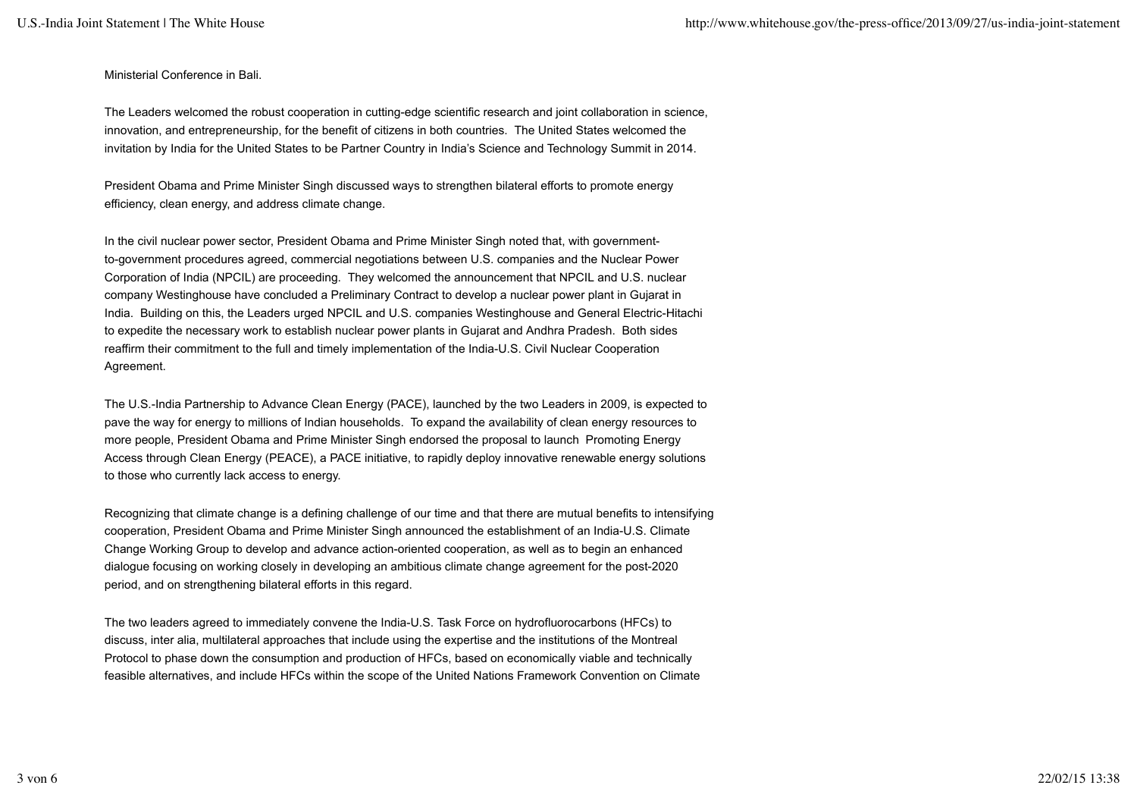Ministerial Conference in Bali.

The Leaders welcomed the robust cooperation in cutting-edge scientific research and joint collaboration in science, innovation, and entrepreneurship, for the benefit of citizens in both countries. The United States welcomed the invitation by India for the United States to be Partner Country in India's Science and Technology Summit in 2014.

President Obama and Prime Minister Singh discussed ways to strengthen bilateral efforts to promote energy efficiency, clean energy, and address climate change.

In the civil nuclear power sector, President Obama and Prime Minister Singh noted that, with governmentto-government procedures agreed, commercial negotiations between U.S. companies and the Nuclear Power Corporation of India (NPCIL) are proceeding. They welcomed the announcement that NPCIL and U.S. nuclear company Westinghouse have concluded a Preliminary Contract to develop a nuclear power plant in Gujarat in India. Building on this, the Leaders urged NPCIL and U.S. companies Westinghouse and General Electric-Hitachi to expedite the necessary work to establish nuclear power plants in Gujarat and Andhra Pradesh. Both sides reaffirm their commitment to the full and timely implementation of the India-U.S. Civil Nuclear Cooperation Agreement.

The U.S.-India Partnership to Advance Clean Energy (PACE), launched by the two Leaders in 2009, is expected to pave the way for energy to millions of Indian households. To expand the availability of clean energy resources to more people, President Obama and Prime Minister Singh endorsed the proposal to launch Promoting Energy Access through Clean Energy (PEACE), a PACE initiative, to rapidly deploy innovative renewable energy solutions to those who currently lack access to energy.

Recognizing that climate change is a defining challenge of our time and that there are mutual benefits to intensifying cooperation, President Obama and Prime Minister Singh announced the establishment of an India-U.S. Climate Change Working Group to develop and advance action-oriented cooperation, as well as to begin an enhanced dialogue focusing on working closely in developing an ambitious climate change agreement for the post-2020 period, and on strengthening bilateral efforts in this regard.

The two leaders agreed to immediately convene the India-U.S. Task Force on hydrofluorocarbons (HFCs) to discuss, inter alia, multilateral approaches that include using the expertise and the institutions of the Montreal Protocol to phase down the consumption and production of HFCs, based on economically viable and technically feasible alternatives, and include HFCs within the scope of the United Nations Framework Convention on Climate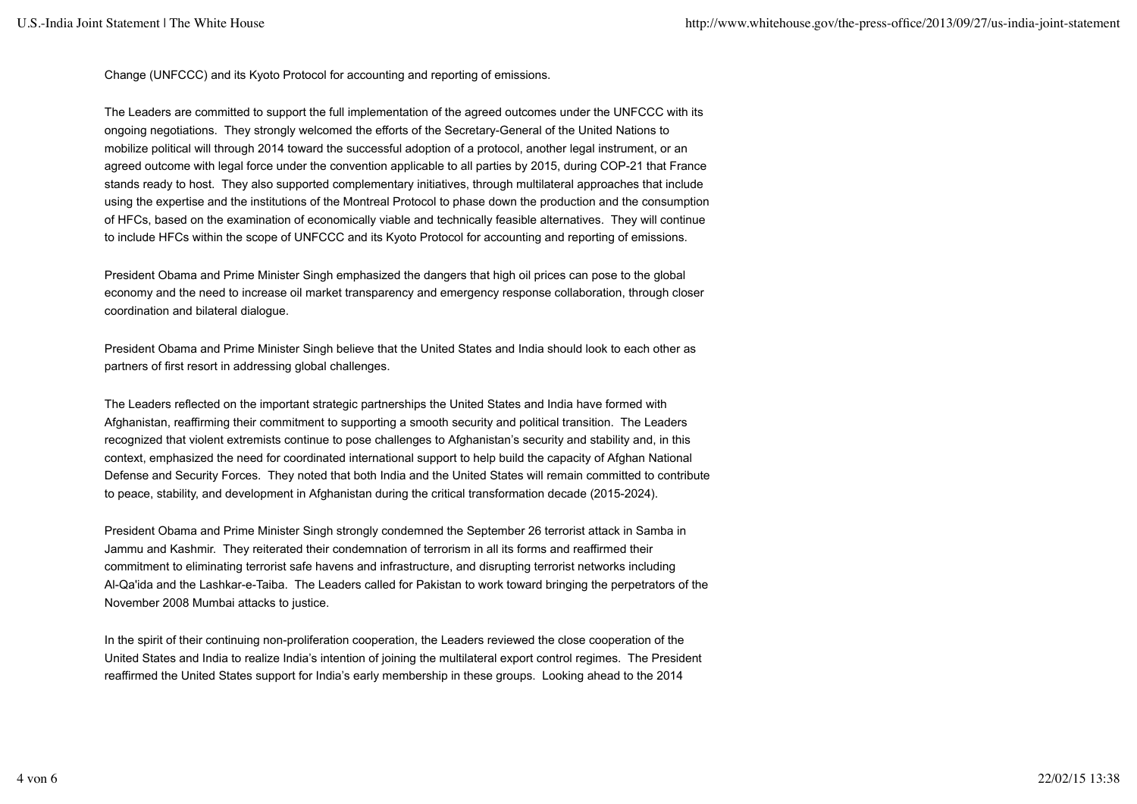Change (UNFCCC) and its Kyoto Protocol for accounting and reporting of emissions.

The Leaders are committed to support the full implementation of the agreed outcomes under the UNFCCC with its ongoing negotiations. They strongly welcomed the efforts of the Secretary-General of the United Nations to mobilize political will through 2014 toward the successful adoption of a protocol, another legal instrument, or an agreed outcome with legal force under the convention applicable to all parties by 2015, during COP-21 that France stands ready to host. They also supported complementary initiatives, through multilateral approaches that include using the expertise and the institutions of the Montreal Protocol to phase down the production and the consumption of HFCs, based on the examination of economically viable and technically feasible alternatives. They will continue to include HFCs within the scope of UNFCCC and its Kyoto Protocol for accounting and reporting of emissions.

President Obama and Prime Minister Singh emphasized the dangers that high oil prices can pose to the global economy and the need to increase oil market transparency and emergency response collaboration, through closer coordination and bilateral dialogue.

President Obama and Prime Minister Singh believe that the United States and India should look to each other as partners of first resort in addressing global challenges.

The Leaders reflected on the important strategic partnerships the United States and India have formed with Afghanistan, reaffirming their commitment to supporting a smooth security and political transition. The Leaders recognized that violent extremists continue to pose challenges to Afghanistan's security and stability and, in this context, emphasized the need for coordinated international support to help build the capacity of Afghan National Defense and Security Forces. They noted that both India and the United States will remain committed to contribute to peace, stability, and development in Afghanistan during the critical transformation decade (2015-2024).

President Obama and Prime Minister Singh strongly condemned the September 26 terrorist attack in Samba in Jammu and Kashmir. They reiterated their condemnation of terrorism in all its forms and reaffirmed their commitment to eliminating terrorist safe havens and infrastructure, and disrupting terrorist networks including Al-Qa'ida and the Lashkar-e-Taiba. The Leaders called for Pakistan to work toward bringing the perpetrators of the November 2008 Mumbai attacks to justice.

In the spirit of their continuing non-proliferation cooperation, the Leaders reviewed the close cooperation of the United States and India to realize India's intention of joining the multilateral export control regimes. The President reaffirmed the United States support for India's early membership in these groups. Looking ahead to the 2014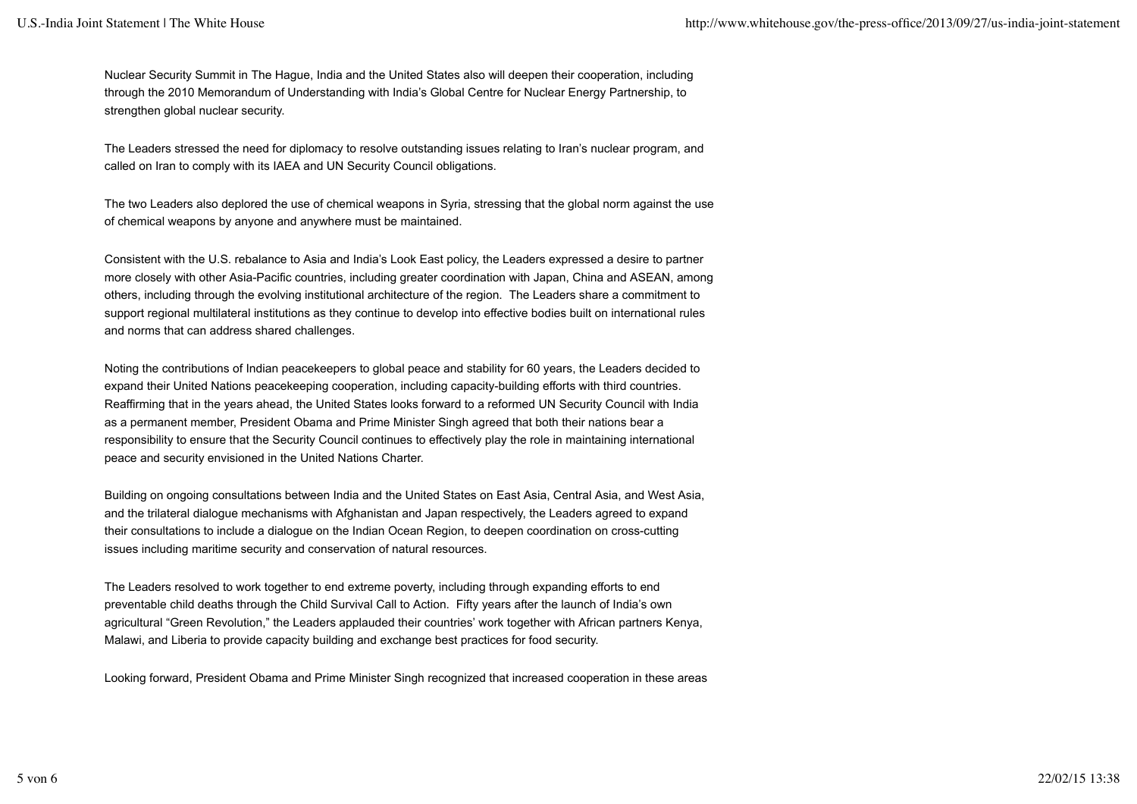Nuclear Security Summit in The Hague, India and the United States also will deepen their cooperation, including through the 2010 Memorandum of Understanding with India's Global Centre for Nuclear Energy Partnership, to strengthen global nuclear security.

The Leaders stressed the need for diplomacy to resolve outstanding issues relating to Iran's nuclear program, and called on Iran to comply with its IAEA and UN Security Council obligations.

The two Leaders also deplored the use of chemical weapons in Syria, stressing that the global norm against the use of chemical weapons by anyone and anywhere must be maintained.

Consistent with the U.S. rebalance to Asia and India's Look East policy, the Leaders expressed a desire to partner more closely with other Asia-Pacific countries, including greater coordination with Japan, China and ASEAN, among others, including through the evolving institutional architecture of the region. The Leaders share a commitment to support regional multilateral institutions as they continue to develop into effective bodies built on international rules and norms that can address shared challenges.

Noting the contributions of Indian peacekeepers to global peace and stability for 60 years, the Leaders decided to expand their United Nations peacekeeping cooperation, including capacity-building efforts with third countries. Reaffirming that in the years ahead, the United States looks forward to a reformed UN Security Council with India as a permanent member, President Obama and Prime Minister Singh agreed that both their nations bear a responsibility to ensure that the Security Council continues to effectively play the role in maintaining international peace and security envisioned in the United Nations Charter.

Building on ongoing consultations between India and the United States on East Asia, Central Asia, and West Asia, and the trilateral dialogue mechanisms with Afghanistan and Japan respectively, the Leaders agreed to expand their consultations to include a dialogue on the Indian Ocean Region, to deepen coordination on cross-cutting issues including maritime security and conservation of natural resources.

The Leaders resolved to work together to end extreme poverty, including through expanding efforts to end preventable child deaths through the Child Survival Call to Action. Fifty years after the launch of India's own agricultural "Green Revolution," the Leaders applauded their countries' work together with African partners Kenya, Malawi, and Liberia to provide capacity building and exchange best practices for food security.

Looking forward, President Obama and Prime Minister Singh recognized that increased cooperation in these areas